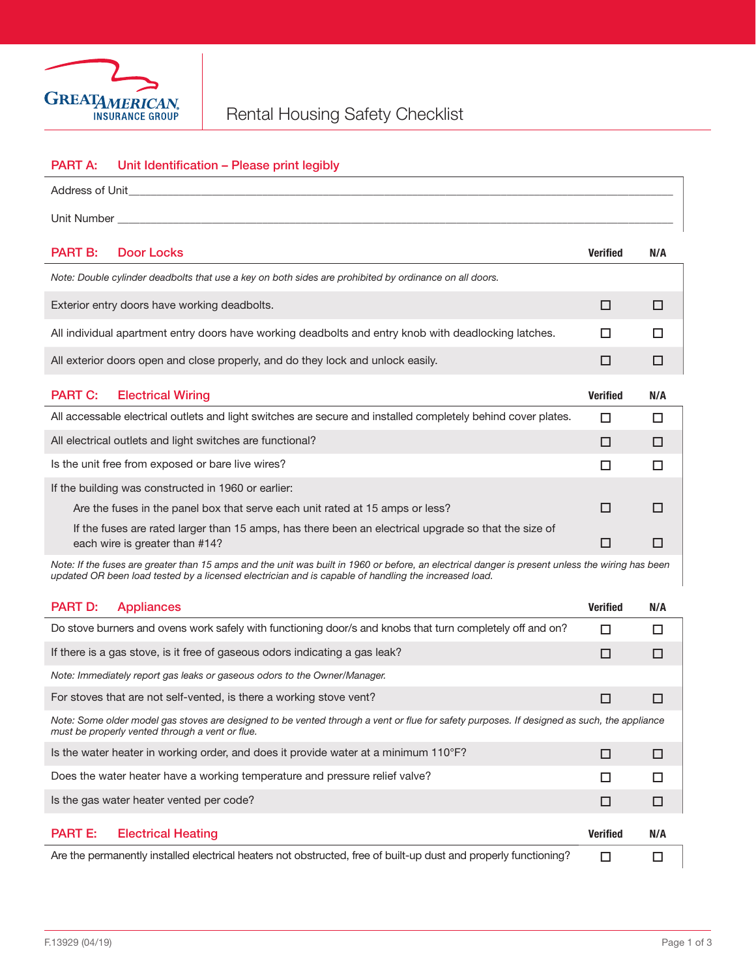

## PART A: Unit Identification - Please print legibly

| Address of Unit<br>the control of the control of the control of the control of the control of                                                                                                                                                            |                 |        |  |
|----------------------------------------------------------------------------------------------------------------------------------------------------------------------------------------------------------------------------------------------------------|-----------------|--------|--|
| Unit Number                                                                                                                                                                                                                                              |                 |        |  |
| <b>PART B:</b><br><b>Door Locks</b>                                                                                                                                                                                                                      | <b>Verified</b> | N/A    |  |
| Note: Double cylinder deadbolts that use a key on both sides are prohibited by ordinance on all doors.                                                                                                                                                   |                 |        |  |
| Exterior entry doors have working deadbolts.                                                                                                                                                                                                             | □               | □      |  |
| All individual apartment entry doors have working deadbolts and entry knob with deadlocking latches.                                                                                                                                                     | □               | □      |  |
| All exterior doors open and close properly, and do they lock and unlock easily.                                                                                                                                                                          | □               | □      |  |
| <b>PART C:</b><br><b>Electrical Wiring</b>                                                                                                                                                                                                               | <b>Verified</b> | N/A    |  |
| All accessable electrical outlets and light switches are secure and installed completely behind cover plates.                                                                                                                                            | □               | $\Box$ |  |
| All electrical outlets and light switches are functional?                                                                                                                                                                                                | □               | □      |  |
| Is the unit free from exposed or bare live wires?                                                                                                                                                                                                        | □               | □      |  |
| If the building was constructed in 1960 or earlier:                                                                                                                                                                                                      |                 |        |  |
| □<br>Are the fuses in the panel box that serve each unit rated at 15 amps or less?                                                                                                                                                                       |                 |        |  |
| If the fuses are rated larger than 15 amps, has there been an electrical upgrade so that the size of<br>each wire is greater than #14?                                                                                                                   | □               | □      |  |
| Note: If the fuses are greater than 15 amps and the unit was built in 1960 or before, an electrical danger is present unless the wiring has been<br>updated OR been load tested by a licensed electrician and is capable of handling the increased load. |                 |        |  |
| <b>PART D:</b><br><b>Appliances</b>                                                                                                                                                                                                                      | <b>Verified</b> | N/A    |  |
| Do stove burners and ovens work safely with functioning door/s and knobs that turn completely off and on?                                                                                                                                                | $\Box$          | □      |  |
| If there is a gas stove, is it free of gaseous odors indicating a gas leak?                                                                                                                                                                              | □               | □      |  |
| Note: Immediately report gas leaks or gaseous odors to the Owner/Manager.                                                                                                                                                                                |                 |        |  |
| For stoves that are not self-vented, is there a working stove vent?<br>$\Box$<br>□                                                                                                                                                                       |                 |        |  |
| Note: Some older model gas stoves are designed to be vented through a vent or flue for safety purposes. If designed as such, the appliance<br>must be properly vented through a vent or flue.                                                            |                 |        |  |
| Is the water heater in working order, and does it provide water at a minimum 110°F?                                                                                                                                                                      | $\Box$          | □      |  |
| Does the water heater have a working temperature and pressure relief valve?                                                                                                                                                                              | □               | □      |  |
| Is the gas water heater vented per code?                                                                                                                                                                                                                 |                 | □      |  |
| <b>PART E:</b><br><b>Electrical Heating</b>                                                                                                                                                                                                              | <b>Verified</b> | N/A    |  |
| Are the permanently installed electrical heaters not obstructed, free of built-up dust and properly functioning?                                                                                                                                         | $\Box$          | $\Box$ |  |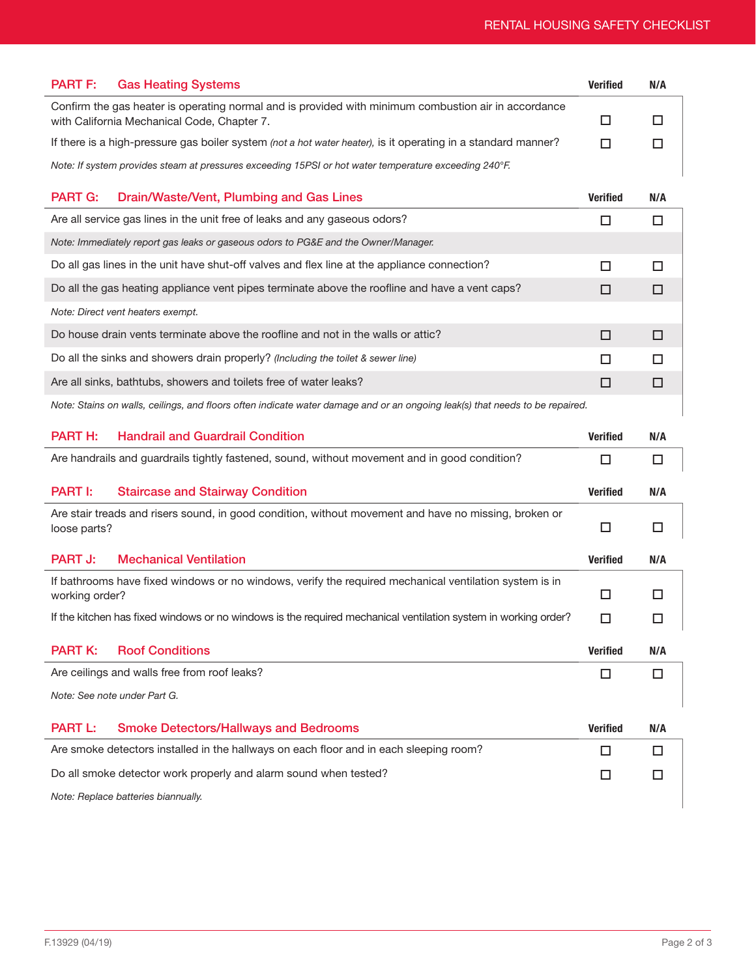|                                                                                                       | <b>PART F:</b> Gas Heating Systems                                                                                                                  | <b>Verified</b> | N/A |
|-------------------------------------------------------------------------------------------------------|-----------------------------------------------------------------------------------------------------------------------------------------------------|-----------------|-----|
|                                                                                                       | Confirm the gas heater is operating normal and is provided with minimum combustion air in accordance<br>with California Mechanical Code, Chapter 7. |                 |     |
|                                                                                                       | If there is a high-pressure gas boiler system (not a hot water heater), is it operating in a standard manner?                                       | . .             |     |
| Note: If system provides steam at pressures exceeding 15PSI or hot water temperature exceeding 240°F. |                                                                                                                                                     |                 |     |

| <b>PART G:</b><br>Drain/Waste/Vent, Plumbing and Gas Lines                                     | Verified | N/A |
|------------------------------------------------------------------------------------------------|----------|-----|
| Are all service gas lines in the unit free of leaks and any gaseous odors?                     |          |     |
| Note: Immediately report gas leaks or gaseous odors to PG&E and the Owner/Manager.             |          |     |
| Do all gas lines in the unit have shut-off valves and flex line at the appliance connection?   |          |     |
| Do all the gas heating appliance vent pipes terminate above the roofline and have a vent caps? | П        |     |
| Note: Direct vent heaters exempt.                                                              |          |     |
| Do house drain vents terminate above the roofline and not in the walls or attic?               | п        |     |
| Do all the sinks and showers drain properly? (Including the toilet & sewer line)               | п        |     |
| Are all sinks, bathtubs, showers and toilets free of water leaks?                              | П        |     |
|                                                                                                |          |     |

*Note: Stains on walls, ceilings, and floors often indicate water damage and or an ongoing leak(s) that needs to be repaired.*

| <b>PART H:</b>                                                        | <b>Handrail and Guardrail Condition</b>                                                                        | <b>Verified</b> | N/A |
|-----------------------------------------------------------------------|----------------------------------------------------------------------------------------------------------------|-----------------|-----|
|                                                                       | Are handrails and guardrails tightly fastened, sound, without movement and in good condition?                  | П               | □   |
| <b>PART I:</b>                                                        | <b>Staircase and Stairway Condition</b>                                                                        | <b>Verified</b> | N/A |
| loose parts?                                                          | Are stair treads and risers sound, in good condition, without movement and have no missing, broken or          | □               | □   |
| <b>PART J:</b>                                                        | <b>Mechanical Ventilation</b>                                                                                  | <b>Verified</b> | N/A |
| working order?                                                        | If bathrooms have fixed windows or no windows, verify the required mechanical ventilation system is in         | □               | П   |
|                                                                       | If the kitchen has fixed windows or no windows is the required mechanical ventilation system in working order? | □               | □   |
| <b>PART K:</b>                                                        | <b>Roof Conditions</b>                                                                                         | <b>Verified</b> | N/A |
|                                                                       | Are ceilings and walls free from roof leaks?                                                                   | □               | □   |
| Note: See note under Part G.                                          |                                                                                                                |                 |     |
| <b>PART L:</b>                                                        | <b>Smoke Detectors/Hallways and Bedrooms</b>                                                                   | <b>Verified</b> | N/A |
|                                                                       | Are smoke detectors installed in the hallways on each floor and in each sleeping room?                         | □               | п   |
| Do all smoke detector work properly and alarm sound when tested?<br>□ |                                                                                                                |                 | □   |
| Note: Replace batteries biannually.                                   |                                                                                                                |                 |     |